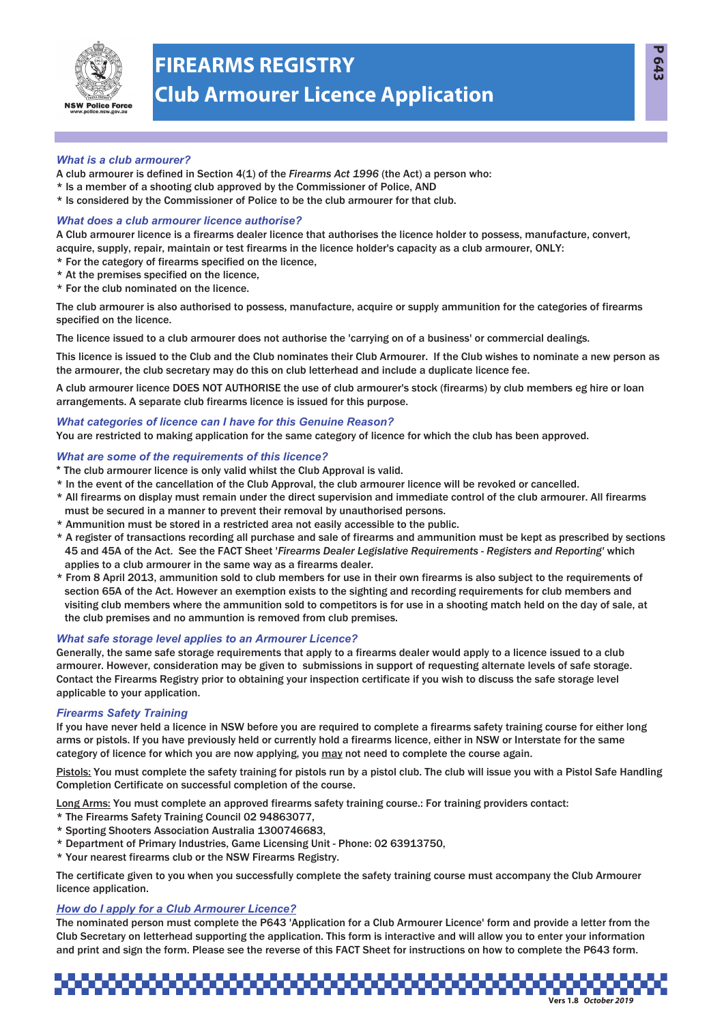

# **FIREARMS REGISTRY Club Armourer Licence Application**

# *What is a club armourer?*

- A club armourer is defined in Section 4(1) of the *Firearms Act 1996* (the Act) a person who:
- \* Is a member of a shooting club approved by the Commissioner of Police, AND
- \* Is considered by the Commissioner of Police to be the club armourer for that club.

# *What does a club armourer licence authorise?*

A Club armourer licence is a firearms dealer licence that authorises the licence holder to possess, manufacture, convert, acquire, supply, repair, maintain or test firearms in the licence holder's capacity as a club armourer, ONLY:

- \* For the category of firearms specified on the licence,
- \* At the premises specified on the licence,
- \* For the club nominated on the licence.

The club armourer is also authorised to possess, manufacture, acquire or supply ammunition for the categories of firearms specified on the licence.

The licence issued to a club armourer does not authorise the 'carrying on of a business' or commercial dealings.

This licence is issued to the Club and the Club nominates their Club Armourer. If the Club wishes to nominate a new person as the armourer, the club secretary may do this on club letterhead and include a duplicate licence fee.

A club armourer licence DOES NOT AUTHORISE the use of club armourer's stock (firearms) by club members eg hire or loan arrangements. A separate club firearms licence is issued for this purpose.

# *What categories of licence can I have for this Genuine Reason?*

You are restricted to making application for the same category of licence for which the club has been approved.

# *What are some of the requirements of this licence?*

- **\*** The club armourer licence is only valid whilst the Club Approval is valid.
- \* In the event of the cancellation of the Club Approval, the club armourer licence will be revoked or cancelled.
- \* All firearms on display must remain under the direct supervision and immediate control of the club armourer. All firearms must be secured in a manner to prevent their removal by unauthorised persons.
- \* Ammunition must be stored in a restricted area not easily accessible to the public.
- \* A register of transactions recording all purchase and sale of firearms and ammunition must be kept as prescribed by sections 45 and 45A of the Act. See the FACT Sheet '*Firearms Dealer Legislative Requirements - Registers and Reporting'* which applies to a club armourer in the same way as a firearms dealer.
- \* From 8 April 2013, ammunition sold to club members for use in their own firearms is also subject to the requirements of section 65A of the Act. However an exemption exists to the sighting and recording requirements for club members and visiting club members where the ammunition sold to competitors is for use in a shooting match held on the day of sale, at the club premises and no ammuntion is removed from club premises.

# *What safe storage level applies to an Armourer Licence?*

Generally, the same safe storage requirements that apply to a firearms dealer would apply to a licence issued to a club armourer. However, consideration may be given to submissions in support of requesting alternate levels of safe storage. Contact the Firearms Registry prior to obtaining your inspection certificate if you wish to discuss the safe storage level applicable to your application.

# *Firearms Safety Training*

If you have never held a licence in NSW before you are required to complete a firearms safety training course for either long arms or pistols. If you have previously held or currently hold a firearms licence, either in NSW or Interstate for the same category of licence for which you are now applying, you may not need to complete the course again.

Pistols: You must complete the safety training for pistols run by a pistol club. The club will issue you with a Pistol Safe Handling Completion Certificate on successful completion of the course.

Long Arms: You must complete an approved firearms safety training course.: For training providers contact:

- \* The Firearms Safety Training Council 02 94863077,
- \* Sporting Shooters Association Australia 1300746683,
- \* Department of Primary Industries, Game Licensing Unit Phone: 02 63913750,
- \* Your nearest firearms club or the NSW Firearms Registry.

The certificate given to you when you successfully complete the safety training course must accompany the Club Armourer licence application.

# *How do I apply for a Club Armourer Licence?*

The nominated person must complete the P643 'Application for a Club Armourer Licence' form and provide a letter from the Club Secretary on letterhead supporting the application. This form is interactive and will allow you to enter your information and print and sign the form. Please see the reverse of this FACT Sheet for instructions on how to complete the P643 form.